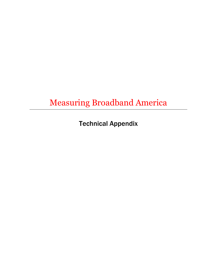Measuring Broadband America

Technical Appendix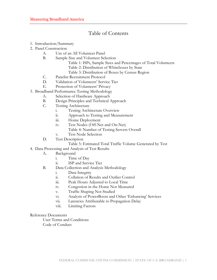# Table of Contents

- 1. Introduction/Summary
- 2. Panel Construction
	- A. Use of an All Volunteer Panel
	- B. Sample Size and Volunteer Selection
		- Table 1: ISPs, Sample Sizes and Percentages of Total Volunteers Table 2: Distribution of Whiteboxes by State
		- Table 3: Distribution of Boxes by Census Region
	- C. Panelist Recruitment Protocol
	- D. Validation of Volunteers' Service Tier
	- E. Protection of Volunteers' Privacy
- 3. Broadband Performance Testing Methodology
	- A. Selection of Hardware Approach
		- B. Design Principles and Technical Approach
		- C. Testing Architecture
			- i. Testing Architecture Overview
			- ii. Approach to Testing and Measurement
			- iii. Home Deployment
			- iv. Test Nodes (Off-Net and On-Net)
				- Table 4: Number of Testing Servers Overall
			- v. Test Node Selection
		- D. Test Description
			- Table 5: Estimated Total Traffic Volume Generated by Test
- 4. Data Processing and Analysis of Test Results
	- A. Background
		- i. Time of Day
		- ii. ISP and Service Tier
	- B. Data Collection and Analysis Methodology
		- i. Data Integrity
		- ii. Collation of Results and Outlier Control
		- iii. Peak Hours Adjusted to Local Time
		- iv. Congestion in the Home Not Measured
		- v. Traffic Shaping Not Studied
		- vi. Analysis of PowerBoost and Other 'Enhancing' Services
		- vii. Latencies Attributable to Propagation Delay
		- viii. Limiting Factors

# Reference Documents

User Terms and Conditions

Code of Conduct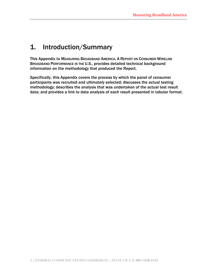# 1. Introduction/Summary

This Appendix to MEASURING BROADBAND AMERICA, A REPORT ON CONSUMER WIRELINE BROADBAND PERFORMANCE IN THE U.S., provides detailed technical background information on the methodology that produced the Report.

Specifically, this Appendix covers the process by which the panel of consumer participants was recruited and ultimately selected; discusses the actual testing methodology; describes the analysis that was undertaken of the actual test result data; and provides a link to data analysis of each result presented in tabular format.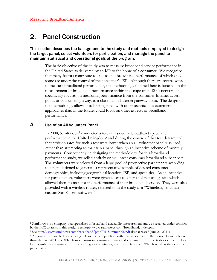# 2. Panel Construction

This section describes the background to the study and methods employed to design the target panel, select volunteers for participation, and manage the panel to maintain statistical and operational goals of the program.

The basic objective of the study was to measure broadband service performance in the United States as delivered by an ISP to the home of a consumer. We recognize that many factors contribute to end-to-end broadband performance, of which only some are under the control of the consumer's ISP. Although there are several ways to measure broadband performance, the methodology outlined here is focused on the measurement of broadband performance within the scope of an ISP's network, and specifically focuses on measuring performance from the consumer Internet access point, or consumer gateway, to a close major Internet gateway point. The design of the methodology allows it to be integrated with other technical measurement approaches that, in the future, could focus on other aspects of broadband performance.

# A. Use of an All Volunteer Panel

 $\overline{a}$ 

In 2008, SamKnows<sup>1</sup> conducted a test of residential broadband speed and performance in the United Kingdom<sup>2</sup> and during the course of that test determined that attrition rates for such a test were lower when an all-volunteer panel was used, rather than attempting to maintain a panel through an incentive scheme of monthly payments. Consequently, in designing the methodology for this broadband performance study, we relied entirely on volunteer consumer broadband subscribers. The volunteers were selected from a large pool of prospective participants according to a plan designed to generate a representative sample of desired consumer demographics, including geographical location, ISP, and speed tier. As an incentive for participation, volunteers were given access to a personal reporting suite which allowed them to monitor the performance of their broadband service. They were also provided with a wireless router, referred to in the study as a "Whitebox," that ran custom SamKnows software.<sup>3</sup>

<sup>1</sup> SamKnows is a company that specializes in broadband availability measurement and was retained under contract by the FCC to assist in this study. See http://www.samknows.com/broadband/index.php.

<sup>&</sup>lt;sup>2</sup> See <u>http://www.samknows.com/broadband/pm/PM\_Summer\_08.pdf</u> (last accessed June 26, 2011).

<sup>3</sup> Although the raw bulk data being released in conjunction with this report cover the period from February through June 2011, the Whiteboxes remain in consumer homes and continue to run the tests described below. Participants may remain in the trial as long as it continues, and may retain their Whitebox when they end their participation.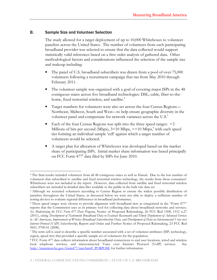# B. Sample Size and Volunteer Selection

1

The study allowed for a target deployment of up to 10,000 Whiteboxes to volunteer panelists across the United States. The number of volunteers from each participating broadband provider was selected to ensure that the data collected would support statistically valid inferences based on a first order analysis of gathered data. Other methodological factors and considerations influenced the selection of the sample size and makeup including:

- The panel of U.S. broadband subscribers was drawn from a pool of over 75,000 volunteers following a recruitment campaign that ran from May 2010 through February 2011.
- The volunteer sample was organized with a goal of covering major ISPS in the 48 contiguous states across five broadband technologies: DSL, cable, fiber-to-thehome, fixed terrestrial wireless, and satellite.<sup>4</sup>
- Target numbers for volunteers were also set across the four Census Regions— Northeast, Midwest, South and West—to help ensure geographic diversity in the volunteer panel and compensate for network variances across the U.S.<sup>5</sup>
- Each of the four Census Regions was split into the three speed ranges:  $\leq$ 3 Millions of bits per second (Mbps), 3<10 Mbps, >=10 Mbps,<sup>6</sup> with each speed tier forming an individual sample 'cell' against which a target number of volunteers would be selected.<sup>7</sup>
- A target plan for allocation of Whiteboxes was developed based on the market share of participating ISPs. Initial market share information was based principally on FCC Form 477<sup>8</sup> data filed by ISPs for June 2010.

<sup>4</sup> The final results included volunteers from all 48 contiguous states as well as Hawaii. Due to the low number of volunteers that subscribed to satellite and fixed terrestrial wireless technology, the results from those consumers' Whiteboxes were not included in the report. However, data collected from satellite and fixed terrestrial wireless subscribers are included in detailed data files available to the public in the bulk raw data set.

<sup>&</sup>lt;sup>5</sup> Although we recruited volunteers according to Census Region to ensure the widest possible distribution of panelists throughout the United States, as discussed below we were not able to deploy a sufficient number of testing devices to evaluate regional differences in broadband performance.

<sup>6</sup> These speed ranges were chosen to provide alignment with broadband tiers as categorized in the "Form 477" reports that the Commission uses as its primary tool for collecting data about broadband networks and services. See Modernizing the FCC Form 477 Data Program, Notice of Proposed Rulemaking, 26 FCC Rcd 1508, 1512 n.27 (2011), citing Development of Nationwide Broadband Data to Evaluate Reasonable and Timely Deployment of Advanced Services to All Americans, Improvement of Wireless Broadband Subscribership Data, and Development of Data on Interconnected Voice over Internet Protocol (VoIP) Subscribership, Report and Order and Further Notice of Proposed Rulemaking, 23 FCC Rcd 9691, 9700-01 (2008).

<sup>7</sup> The term cell is used to describe a specific number associated with a set of volunteer attributes (ISP, technology, region, speed tier) that provided a specific sample set of volunteers for the population.

<sup>8</sup> FCC Form 477 data collects information about broadband connections to end user locations, wired and wireless local telephone services, and interconnected Voice over Internet Protocol (VoIP) services. See http://transition.fcc.gov/form477/inst.htm#\_PURPOSE for further information.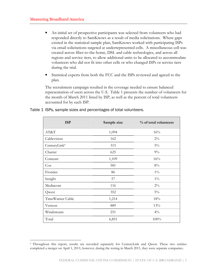$\overline{a}$ 

- An initial set of prospective participants was selected from volunteers who had responded directly to SamKnows as a result of media solicitations. Where gaps existed in the statistical sample plan, SamKnows worked with participating ISPs via email solicitations targeted at underrepresented cells. A miscellaneous cell was created across fiber-to-the-home, DSL and cable technologies, and across all regions and service tiers, to allow additional units to be allocated to accommodate volunteers who did not fit into other cells or who changed ISPs or service tiers during the trial.
- Statistical experts from both the FCC and the ISPs reviewed and agreed to the plan.

The recruitment campaign resulted in the coverage needed to ensure balanced representation of users across the U.S. Table 1 presents the number of volunteers for the month of March 2011 listed by ISP, as well as the percent of total volunteers accounted for by each ISP.

| <b>ISP</b>               | Sample size | % of total volunteers |
|--------------------------|-------------|-----------------------|
| AT&T                     | 1,094       | 16%                   |
| Cablevision              | 162         | $2\%$                 |
| CenturyLink <sup>9</sup> | 315         | $5\%$                 |
| Charter                  | 625         | $9\%$                 |
| Comcast                  | 1,109       | 16%                   |
| Cox                      | 581         | 8%                    |
| Frontier                 | 86          | $1\%$                 |
| Insight                  | 57          | $1\%$                 |
| Mediacom                 | 116         | $2\%$                 |
| Qwest                    | 352         | $5\%$                 |
| TimeWarner Cable         | 1,214       | 18%                   |
| Verizon                  | 889         | 13%                   |
| Windstream               | 251         | $4\%$                 |
| Total                    | 6,851       | $100\%$               |

# Table 1 ISPs, sample sizes and percentages of total volunteers.

<sup>9</sup> Throughout this report, results are recorded separately for CenturyLink and Qwest. These two entities completed a merger on April 1, 2011; however, during the testing in March 2011, they were separate companies.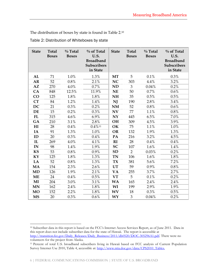The distribution of boxes by state is found in Table 2.<sup>10</sup>

| <b>State</b>   | <b>Total</b><br><b>Boxes</b> | $\%$ Total<br><b>Boxes</b> | % of Total<br>U.S.<br><b>Broadband</b><br><b>Subscribers</b><br>in State | <b>State</b> | <b>Total</b><br><b>Boxes</b> | $\%$ Total<br><b>Boxes</b> | % of Total<br>U.S.<br><b>Broadband</b><br><b>Subscribers</b><br>in State |
|----------------|------------------------------|----------------------------|--------------------------------------------------------------------------|--------------|------------------------------|----------------------------|--------------------------------------------------------------------------|
| AL             | 71                           | 1.0%                       | 1.3%                                                                     | <b>MT</b>    | 5                            | 0.1%                       | 0.3%                                                                     |
| AR             | 52                           | 0.8%                       | 2.1%                                                                     | <b>NC</b>    | 303                          | 4.4%                       | 3.2%                                                                     |
| AZ             | 270                          | 4.0%                       | 0.7%                                                                     | <b>ND</b>    | 3                            | 0.04%                      | 0.2%                                                                     |
| CA             | 848                          | 12.5%                      | 11.9%                                                                    | <b>NE</b>    | 50                           | 0.7%                       | 0.6%                                                                     |
| CO             | 125                          | 1.8%                       | 1.8%                                                                     | <b>NH</b>    | 35                           | 0.5%                       | 0.5%                                                                     |
| <b>CT</b>      | 84                           | 1.2%                       | 1.4%                                                                     | NJ           | 190                          | 2.8%                       | 3.4%                                                                     |
| <b>DC</b>      | 21                           | 0.3%                       | 0.2%                                                                     | <b>NM</b>    | 52                           | 0.8%                       | 0.6%                                                                     |
| DE             | 15                           | 0.2%                       | 0.3%                                                                     | <b>NV</b>    | 77                           | 1.1%                       | 0.8%                                                                     |
| <b>FL</b>      | 315                          | 4.6%                       | 6.9%                                                                     | NY           | 445                          | 6.5%                       | 7.0%                                                                     |
| GA             | 210                          | 3.1%                       | 2.8%                                                                     | <b>OH</b>    | 309                          | 4.5%                       | 3.9%                                                                     |
| H <sub>I</sub> | 28                           | 0.4%                       | $0.4\%$ <sup>11</sup>                                                    | OK           | 75                           | 1.1%                       | 1.0%                                                                     |
| IA             | 91                           | 1.3%                       | 1.0%                                                                     | <b>OR</b>    | 132                          | 1.9%                       | 1.3%                                                                     |
| ID             | 20                           | 0.3%                       | 0.4%                                                                     | PA           | 216                          | 3.2%                       | 4.5%                                                                     |
| IL             | 269                          | 4.0%                       | 4.1%                                                                     | RI           | 28                           | 0.4%                       | 0.4%                                                                     |
| IN             | 98                           | 1.4%                       | 1.9%                                                                     | <b>SC</b>    | 107                          | 1.6%                       | 1.4%                                                                     |
| <b>KS</b>      | 53                           | $0.8\%$                    | 0.9%                                                                     | <b>SD</b>    | $\overline{2}$               | 0.03%                      | 0.2%                                                                     |
| KY             | 125                          | 1.8%                       | 1.3%                                                                     | <b>TN</b>    | 106                          | 1.6%                       | 1.8%                                                                     |
| LA             | 52                           | $0.8\%$                    | 1.3%                                                                     | <b>TX</b>    | 381                          | 5.6%                       | 7.2%                                                                     |
| <b>MA</b>      | 154                          | 2.3%                       | 2.6%                                                                     | <b>UT</b>    | 59                           | 0.9%                       | 0.8%                                                                     |
| <b>MD</b>      | 126                          | 1.9%                       | 2.1%                                                                     | <b>VA</b>    | 255                          | 3.7%                       | 2.7%                                                                     |
| <b>ME</b>      | 24                           | 0.4%                       | 0.5%                                                                     | <b>VT</b>    | 5                            | 0.1%                       | 0.2%                                                                     |
| MI             | 204                          | 3.0%                       | 3.1%                                                                     | <b>WA</b>    | 165                          | 2.4%                       | 2.4%                                                                     |
| <b>MN</b>      | 162                          | 2.4%                       | 1.8%                                                                     | WI           | 199                          | 2.9%                       | 1.9%                                                                     |
| <b>MO</b>      | 152                          | 2.2%                       | 1.8%                                                                     | <b>WV</b>    | 18                           | 0.3%                       | 0.5%                                                                     |
| <b>MS</b>      | 20                           | 0.3%                       | 0.6%                                                                     | WY           | 3                            | 0.04%                      | 0.2%                                                                     |

<sup>1</sup> <sup>10</sup> Subscriber data in this report is based on the FCC's Internet Access Services Report, as of June 2011. Data in this report does not include subscriber data for the state of Hawaii. The report is accessible at http://transition.fcc.gov/Daily\_Releases/Daily\_Business/2011/db0520/DOC-305296A1.pdf. There were no volunteers for the project from Alaska.

<sup>11</sup> Percent of total U.S. broadband subscribers living in Hawaii based on FCC analysis of Current Population Survey Internet Use 2010, Table 4, accessible at: http://www.ntia.doc.gov/data/CPS2010\_Tables.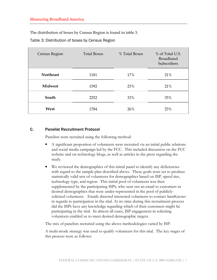The distribution of boxes by Census Region is found in table 3.

Table 3: Distribution of boxes by Census Region

| Census Region    | <b>Total Boxes</b> | % Total Boxes | % of Total U.S.<br><b>Broadband</b><br>Subscribers |
|------------------|--------------------|---------------|----------------------------------------------------|
| <b>Northeast</b> | 1181               | 17%           | 21%                                                |
| <b>Midwest</b>   | 1592               | 23%           | 21%                                                |
| South            | 2252               | 33%           | 35%                                                |
| West             | 1784               | 26%           | 23%                                                |

# C. Panelist Recruitment Protocol

Panelists were recruited using the following method:

- A significant proportion of volunteers were recruited via an initial public relations and social media campaign led by the FCC. This included discussion on the FCC website and on technology blogs, as well as articles in the press regarding the study.
- We reviewed the demographics of this initial panel to identify any deficiencies with regard to the sample plan described above. These goals were set to produce statistically valid sets of volunteers for demographics based on ISP, speed tier, technology type, and region. This initial pool of volunteers was then supplemented by the participating ISPS, who sent out an email to customers in desired demographics that were under-represented in the pool of publiclysolicited volunteers. Emails directed interested volunteers to contact SamKnows in regards to participation in the trial. At no time during this recruitment process did the ISPS have any knowledge regarding which of their customers might be participating in the trial. In almost all cases, ISP engagement in soliciting volunteers enabled us to meet desired demographic targets.

The mix of panelists recruited using the above methodologies varied by ISP.

A multi-mode strategy was used to qualify volunteers for this trial. The key stages of this process were as follows: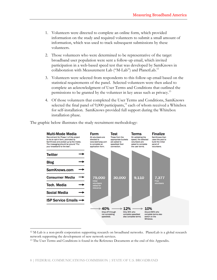- 1. Volunteers were directed to complete an online form, which provided information on the study and required volunteers to submit a small amount of information, which was used to track subsequent submissions by these volunteers.
- 2. Those volunteers who were determined to be representative of the target broadband user population were sent a follow-up email, which invited participation in a web-based speed test that was developed by SamKnows in collaboration with Measurement Lab ("M-Lab") and PlanetLab.<sup>12</sup>
- 3. Volunteers were selected from respondents to this follow-up email based on the statistical requirements of the panel. Selected volunteers were then asked to complete an acknowledgment of User Terms and Conditions that outlined the permissions to be granted by the volunteer in key areas such as privacy.<sup>13</sup>
- 4. Of those volunteers that completed the User Terms and Conditions, SamKnows selected the final panel of 9,000 participants, $14$  each of whom received a Whitebox for self-installation. SamKnows provided full support during the Whitebox installation phase.

The graphic below illustrates the study recruitment methodology:



<sup>12</sup> M-Lab is a non-profit corporation supporting research on broadband networks. PlanetLab is a global research network supporting the development of new network services.

1

<sup>&</sup>lt;sup>13</sup> The User Terms and Conditions is found in the Reference Documents at the end of this Appendix.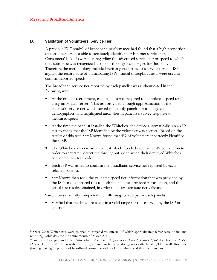1

# D. Validation of Volunteers' Service Tier

A previous FCC study<sup>15</sup> of broadband performance had found that a high proportion of consumers are not able to accurately identify their Internet service tier. Consumers' lack of awareness regarding the advertised service tier or speed to which they subscribe was recognized as one of the major challenges for this study. Therefore the methodology included verifying each panelist's service tier and ISP against the record base of participating ISPs. Initial throughput tests were used to confirm reported speeds.

The broadband service tier reported by each panelist was authenticated in the following way:

- At the time of recruitment, each panelist was required to complete a speed test using an M-Lab server. This test provided a rough approximation of the panelist's service tier which served to identify panelists with targeted demographics, and highlighted anomalies in panelist's survey response to measured speed.
- At the time the panelist installed the Whitebox, the device automatically ran an IP test to check that the ISP identified by the volunteer was correct. Based on the results of this test, SamKnows found that 4% of volunteers incorrectly identified their ISP.
- The Whitebox also ran an initial test which flooded each panelist's connection in order to accurately detect the throughput speed when their deployed Whitebox connected to a test node.
- Each ISP was asked to confirm the broadband service tier reported by each selected panelist.
- SamKnows then took the validated speed tier information that was provided by the ISPS and compared this to both the panelist-provided information, and the actual test results obtained, in order to ensure accurate tier validation.

SamKnows manually completed the following four steps for each panelist:

• Verified that the IP address was in a valid range for those served by the ISP in question.

<sup>14</sup> Over 9,000 Whiteboxes were shipped to targeted volunteers, of which approximately 6,800 were online and reporting usable data for the entire month of March 2011.

<sup>&</sup>lt;sup>15</sup> See John Horrigan and Ellen Satterwhite, Americans' Perspectives on Online Connection Speeds for Home and Mobile Devices, 1 (FCC 2010), available at http://hraunfoss.fcc.gov/edocs\_public/attachmatch/DOC-298516A1.doc (finding that eighty percent of broadband consumers did not know what speed they had purchased).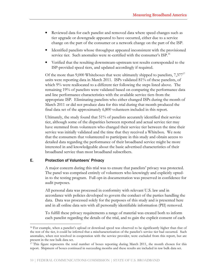- Reviewed data for each panelist and removed data where speed changes such as tier upgrade or downgrade appeared to have occurred, either due to a service change on the part of the consumer or a network change on the part of the ISP.
- Identified panelists whose throughput appeared inconsistent with the provisioned service tier. Such anomalies were re-certified with the consumer's ISP.<sup>16</sup>
- Verified that the resulting downstream-upstream test results corresponded to the ISP-provided speed tiers, and updated accordingly if required.

Of the more than 9,000 Whiteboxes that were ultimately shipped to panelists,  $7,377^{17}$ units were reporting data in March 2011. ISPs validated 81% of these panelists, of which 9% were reallocated to a different tier following the steps listed above. The remaining 19% of panelists were validated based on comparing the performance data and line performance characteristics with the available service tiers from the appropriate ISP. Eliminating panelists who either changed ISPs during the month of March 2011 or did not produce data for this trial during that month produced the final data set of the approximately 6,800 volunteers included in this report.

Ultimately, the study found that 51% of panelists accurately identified their service tier, although some of the disparities between reported and actual service tier may have stemmed from volunteers who changed their service tier between the time their service was initially validated and the time that they received a Whitebox. We note that the consumers that volunteered to participate in this study and obtain access to detailed data regarding the performance of their broadband service might be more interested in and knowledgeable about the basic advertised characteristics of their broadband service than most broadband subscribers.

# E. Protection of Volunteers' Privacy

1

A major concern during this trial was to ensure that panelists' privacy was protected. The panel was comprised entirely of volunteers who knowingly and explicitly optedin to the testing program. Full opt-in documentation was preserved in confidence for audit purposes.

All personal data was processed in conformity with relevant U.S. law and in accordance with policies developed to govern the conduct of the parties handling the data. Data was processed solely for the purposes of this study and is presented here and in all online data sets with all personally identifiable information (PII) removed.

To fulfill these privacy requirements a range of material was created both to inform each panelist regarding the details of the trial, and to gain the explicit consent of each

<sup>&</sup>lt;sup>16</sup> For example, when a panelist's upload or download speed was observed to be significantly higher than that of the rest of the tier, it could be inferred that a mischaracterization of the panelist's service tier had occurred. Such anomalies, when not resolved in cooperation with the service provider, were excluded from this report, but are present in the raw bulk data set.

<sup>&</sup>lt;sup>17</sup> This figure represents the total number of boxes reporting during March 2011, the month chosen for this report. Shipment of boxes continued in succeeding months and these results are included in raw bulk data set.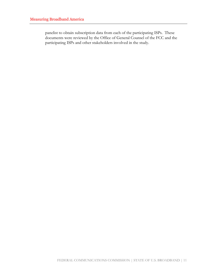panelist to obtain subscription data from each of the participating ISPs. These documents were reviewed by the Office of General Counsel of the FCC and the participating ISPs and other stakeholders involved in the study.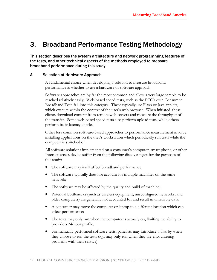# 3. Broadband Performance Testing Methodology

This section describes the system architecture and network programming features of the tests, and other technical aspects of the methods employed to measure broadband performance during this study.

# A. Selection of Hardware Approach

A fundamental choice when developing a solution to measure broadband performance is whether to use a hardware or software approach.

Software approaches are by far the most common and allow a very large sample to be reached relatively easily. Web-based speed tests, such as the FCC's own Consumer Broadband Test, fall into this category. These typically use Flash or Java applets, which execute within the context of the user's web browser. When initiated, these clients download content from remote web servers and measure the throughput of the transfer. Some web-based speed tests also perform upload tests, while others perform basic latency checks.

Other less common software-based approaches to performance measurement involve installing applications on the user's workstation which periodically run tests while the computer is switched on.

All software solutions implemented on a consumer's computer, smart phone, or other Internet access device suffer from the following disadvantages for the purposes of this study:

- The software may itself affect broadband performance;
- The software typically does not account for multiple machines on the same network;
- The software may be affected by the quality and build of machine;
- Potential bottlenecks (such as wireless equipment, misconfigured networks, and older computers) are generally not accounted for and result in unreliable data;
- A consumer may move the computer or laptop to a different location which can affect performance;
- The tests may only run when the computer is actually on, limiting the ability to provide a 24-hour profile;
- For manually-performed software tests, panelists may introduce a bias by when they choose to run the tests  $(e.g.,$  may only run when they are encountering problems with their service).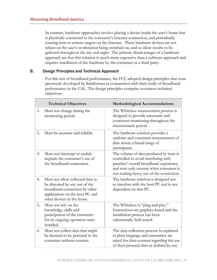In contrast, hardware approaches involve placing a device inside the user's home that is physically connected to the consumer's Internet connection, and periodically running tests to remote targets on the Internet. These hardware devices are not reliant on the user's workstation being switched on, and so allow results to be gathered throughout the day and night. The primary disadvantages of a hardware approach are that this solution is much more expensive than a software approach and requires installation of the hardware by the consumer or a third party.

# B. Design Principles and Technical Approach

For this test of broadband performance, the FCC adopted design principles that were previously developed by SamKnows in conjunction with their study of broadband performance in the U.K. The design principles comprise seventeen technical objectives:

|    | <b>Technical Objectives</b>                                                                                                                                          | <b>Methodological Accommodations</b>                                                                                                                                                                              |
|----|----------------------------------------------------------------------------------------------------------------------------------------------------------------------|-------------------------------------------------------------------------------------------------------------------------------------------------------------------------------------------------------------------|
| 1. | Must not change during the<br>monitoring period.                                                                                                                     | The Whitebox measurement process is<br>designed to provide automatic and<br>consistent monitoring throughout the<br>measurement period.                                                                           |
| 2. | Must be accurate and reliable.                                                                                                                                       | The hardware solution provides a<br>uniform and consistent measurement of<br>data across a broad range of<br>participants.                                                                                        |
| 3. | Must not interrupt or unduly<br>degrade the consumer's use of<br>the broadband connection.                                                                           | The volume of data produced by tests is<br>controlled to avoid interfering with<br>panelists' overall broadband experience,<br>and tests only execute when consumer is<br>not making heavy use of the connection. |
| 4. | Must not allow collected data to<br>be distorted by any use of the<br>broadband connection by other<br>applications on the host PC and<br>other devices in the home. | The hardware solution is designed not<br>to interfere with the host PC and is not<br>dependent on that PC.                                                                                                        |
| 5. | Must not rely on the<br>knowledge, skills and<br>participation of the consumer<br>for its ongoing operation once<br>installed.                                       | The Whitebox is "plug-and-play."<br>Instructions are graphics-based and the<br>installation process has been<br>substantially field tested.                                                                       |
| 6. | Must not collect data that might<br>be deemed to be personal to the<br>consumer without consent.                                                                     | The data collection process is explained<br>in plain language and consumers are<br>asked for their consent regarding the use<br>of their personal data as defined by any                                          |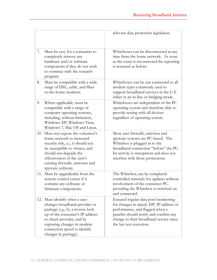|     |                                                                                                                                                                                                                                                                     | relevant data protection legislation.                                                                                                                                                                                                |
|-----|---------------------------------------------------------------------------------------------------------------------------------------------------------------------------------------------------------------------------------------------------------------------|--------------------------------------------------------------------------------------------------------------------------------------------------------------------------------------------------------------------------------------|
| 7.  | Must be easy for a consumer to<br>completely remove any<br>hardware and/or software<br>components if they do not wish<br>to continue with the research<br>program.                                                                                                  | Whiteboxes can be disconnected at any<br>time from the home network. As soon<br>as the route is reconnected the reporting<br>is resumed as before.                                                                                   |
| 8.  | Must be compatible with a wide<br>range of DSL, cable, and fiber-<br>to-the-home modems.                                                                                                                                                                            | Whiteboxes can be can connected to all<br>modem types commonly used to<br>support broadband services in the U.S.<br>either in an in-line or bridging mode.                                                                           |
| 9.  | Where applicable, must be<br>compatible with a range of<br>computer operating systems,<br>including, without limitation,<br>Windows XP, Windows Vista,<br>Windows 7, Mac OS and Linux.                                                                              | Whiteboxes are independent of the PC<br>operating system and therefore able to<br>provide testing with all devices<br>regardless of operating system.                                                                                |
|     | 10. Must not expose the volunteer's<br>home network to increased<br>security risk, <i>i.e.</i> , it should not<br>be susceptible to viruses, and<br>should not degrade the<br>effectiveness of the user's<br>existing firewalls, antivirus and<br>spyware software. | Most user firewalls, antivirus and<br>spyware systems are PC-based. The<br>Whitebox is plugged in to the<br>broadband connection "before" the PC.<br>Its activity is transparent and does not<br>interfere with those protections.   |
| 11. | Must be upgradeable from the<br>remote control center if it<br>contains any software or<br>firmware components.                                                                                                                                                     | The Whitebox can be completely<br>controlled remotely for updates without<br>involvement of the consumer PC,<br>providing the Whitebox is switched on<br>and connected.                                                              |
|     | 12. Must identify when a user<br>changes broadband provider or<br>package (e.g., by a reverse look<br>up of the consumer's IP address<br>to check provider, and by<br>capturing changes in modem<br>connection speed to identify<br>changes in package).            | Ensured regular data pool monitoring<br>for changes in speed, ISP, IP address or<br>performance, and flagged when a<br>panelist should notify and confirm any<br>change to their broadband service since<br>the last test execution. |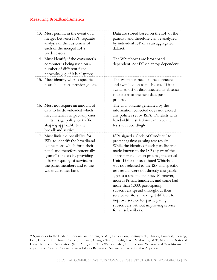$\overline{a}$ 

| 13. Must permit, in the event of a<br>merger between ISPs, separate<br>analysis of the customers of<br>each of the merged ISP's<br>predecessors.                                                                                                                   | Data are stored based on the ISP of the<br>panelist, and therefore can be analyzed<br>by individual ISP or as an aggregated<br>dataset.                                                                                                                                                                                                                                                                                                                                                                                                                                                                                                                              |
|--------------------------------------------------------------------------------------------------------------------------------------------------------------------------------------------------------------------------------------------------------------------|----------------------------------------------------------------------------------------------------------------------------------------------------------------------------------------------------------------------------------------------------------------------------------------------------------------------------------------------------------------------------------------------------------------------------------------------------------------------------------------------------------------------------------------------------------------------------------------------------------------------------------------------------------------------|
| 14. Must identify if the consumer's<br>computer is being used on a<br>number of different fixed<br>networks (e.g., if it is a laptop).                                                                                                                             | The Whiteboxes are broadband<br>dependent, not PC or laptop dependent.                                                                                                                                                                                                                                                                                                                                                                                                                                                                                                                                                                                               |
| 15. Must identify when a specific<br>household stops providing data.                                                                                                                                                                                               | The Whitebox needs to be connected<br>and switched on to push data. If it is<br>switched off or disconnected its absence<br>is detected at the next data push<br>process.                                                                                                                                                                                                                                                                                                                                                                                                                                                                                            |
| 16. Must not require an amount of<br>data to be downloaded which<br>may materially impact any data<br>limits, usage policy, or traffic<br>shaping applicable to the<br>broadband service.                                                                          | The data volume generated by the<br>information collected does not exceed<br>any policies set by ISPS. Panelists with<br>bandwidth restrictions can have their<br>tests set accordingly.                                                                                                                                                                                                                                                                                                                                                                                                                                                                             |
| 17. Must limit the possibility for<br>ISPs to identify the broadband<br>connections which form their<br>panel and therefore potentially<br>"game" the data by providing<br>different quality of service to<br>the panel members and to the<br>wider customer base. | ISPs signed a Code of Conduct <sup>18</sup> to<br>protect against gaming test results.<br>While the identity of each panelist was<br>made known to the ISP as part of the<br>speed tier validation process, the actual<br>Unit ID for the associated Whitebox<br>was not released to the ISP and specific<br>test results were not directly assignable<br>against a specific panelist. Moreover,<br>most ISPs had hundreds, and some had<br>more than 1,000, participating<br>subscribers spread throughout their<br>service territory, making it difficult to<br>improve service for participating<br>subscribers without improving service<br>for all subscribers. |

<sup>18</sup> Signatories to the Code of Conduct are: Adtran, AT&T, Cablevision, CenturyLink, Charter, Comcast, Corning, Cox, Fiber to the Home Council, Frontier, Georgia Tech, Insight, Intel, Mediacom, MIT, Motorola, National Cable Television Association (NCTA), Qwest, TimeWarner Cable, US Telecom, Verizon, and Windstream. A copy of the Code of Conduct is included as a Reference Document attached to this Appendix.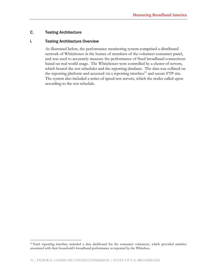# C. Testing Architecture

 $\overline{a}$ 

# i. Testing Architecture Overview

As illustrated below, the performance monitoring system comprised a distributed network of Whiteboxes in the homes of members of the volunteer consumer panel, and was used to accurately measure the performance of fixed broadband connections based on real-world usage. The Whiteboxes were controlled by a cluster of servers, which hosted the test scheduler and the reporting database. The data was collated on the reporting platform and accessed via a reporting interface<sup>19</sup> and secure FTP site. The system also included a series of speed-test servers, which the nodes called upon according to the test schedule.

<sup>19</sup> Each reporting interface included a data dashboard for the consumer volunteers, which provided statistics associated with their household's broadband performance as reported by the Whitebox.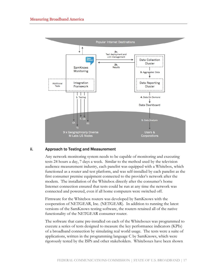

# ii. Approach to Testing and Measurement

Any network monitoring system needs to be capable of monitoring and executing tests 24 hours a day, 7 days a week. Similar to the method used by the television audience measurement industry, each panelist was equipped with a Whitebox, which functioned as a router and test platform, and was self-installed by each panelist as the first consumer premise equipment connected to the provider's network after the modem. The installation of the Whitebox directly after the consumer's home Internet connection ensured that tests could be run at any time the network was connected and powered, even if all home computers were switched off.

Firmware for the Whitebox routers was developed by SamKnows with the cooperation of NETGEAR, Inc. (NETGEAR). In addition to running the latest versions of the SamKnows testing software, the routers retained all of the native functionality of the NETGEAR consumer router.

The software that came pre-installed on each of the Whiteboxes was programmed to execute a series of tests designed to measure the key performance indicators (KPIs) of a broadband connection by simulating real world usage. The tests were a suite of applications, written in the programming language C by SamKnows, which were rigorously tested by the ISPS and other stakeholders. Whiteboxes have been shown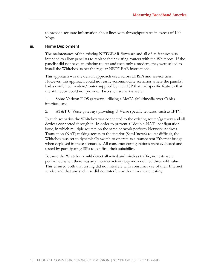to provide accurate information about lines with throughput rates in excess of 100 Mbps.

# iii. Home Deployment

The maintenance of the existing NETGEAR firmware and all of its features was intended to allow panelists to replace their existing routers with the Whitebox. If the panelist did not have an existing router and used only a modem, they were asked to install the Whitebox as per the regular NETGEAR instructions.

This approach was the default approach used across all ISPS and service tiers. However, this approach could not easily accommodate scenarios where the panelist had a combined modem/router supplied by their ISP that had specific features that the Whitebox could not provide. Two such scenarios were:

1. Some Verizon FiOS gateways utilizing a MoCA (Multimedia over Cable) interface; and

2. AT&T U-Verse gateways providing U-Verse specific features, such as IPTV.

In such scenarios the Whitebox was connected to the existing router/gateway and all devices connected through it. In order to prevent a "double-NAT" configuration issue, in which multiple routers on the same network perform Network Address Translation (NAT) making access to the interior (SamKnows) router difficult, the Whitebox was set to dynamically switch to operate as a transparent Ethernet bridge when deployed in these scenarios. All consumer configurations were evaluated and tested by participating ISPs to confirm their suitability.

Because the Whitebox could detect all wired and wireless traffic, no tests were performed when there was any Internet activity beyond a defined threshold value. This ensured both that testing did not interfere with consumer use of their Internet service and that any such use did not interfere with or invalidate testing.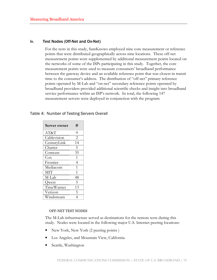## iv. Test Nodes (Off-Net and On-Net)

For the tests in this study, SamKnows employed nine core measurement or reference points that were distributed geographically across nine locations. These off-net measurement points were supplemented by additional measurement points located on the networks of some of the ISPs participating in this study. Together, the core measurement points were used to measure consumers' broadband performance between the gateway device and an available reference point that was closest in transit time to the consumer's address. The distribution of "off-net" primary reference points operated by M-Lab and "on-net" secondary reference points operated by broadband providers provided additional scientific checks and insight into broadband service performance within an ISP's network. In total, the following 147 measurement servers were deployed in conjunction with the program:

| Table 4: Number of Testing Servers Overall |  |
|--------------------------------------------|--|
|--------------------------------------------|--|

| <b>Server owner</b> | #              |
|---------------------|----------------|
| AT&T                | 9              |
| Cablevision         | $\overline{2}$ |
| CenturyLink         | 14             |
| Charter             | 5              |
| Comcast             | 35             |
| $\cos$              | 1              |
| Frontier            | 4              |
| Mediacom            | 1              |
| <b>MIT</b>          | 1              |
| M-Lab               | 48             |
| Qwest               | 5              |
| TimeWarner          | 13             |
| Verizon             | 5              |
| Windstream          | 4              |

## OFF-NET TEST NODES

The M-Lab infrastructure served as destinations for the remote tests during this study. Nodes were located in the following major U.S. Internet peering locations:

- New York, New York (2 peering points )
- Los Angeles, and Mountain View, California
- Seattle, Washington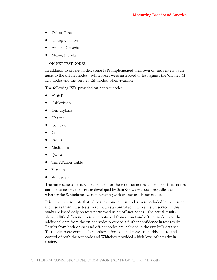- Dallas, Texas
- Chicago, Illinois
- Atlanta, Georgia
- Miami, Florida

# ON-NET TEST NODES

In addition to off-net nodes, some ISPs implemented their own on-net servers as an audit to the off-net nodes. Whiteboxes were instructed to test against the 'off-net' M-Lab nodes and the 'on-net' ISP nodes, when available.

The following ISPS provided on-net test nodes:

- AT&T
- **Cablevision**
- CenturyLink
- Charter
- Comcast
- Cox
- **Frontier**
- Mediacom
- Qwest
- TimeWarner Cable
- Verizon
- Windstream

The same suite of tests was scheduled for these on-net nodes as for the off-net nodes and the same server software developed by SamKnows was used regardless of whether the Whiteboxes were interacting with on-net or off-net nodes.

It is important to note that while these on-net test nodes were included in the testing, the results from these tests were used as a control set; the results presented in this study are based only on tests performed using off-net nodes. The actual results showed little difference in results obtained from on-net and off-net nodes, and the additional data from the on-net nodes provided a further confidence in test results. Results from both on-net and off-net nodes are included in the raw bulk data set. Test nodes were continually monitored for load and congestion; this end-to-end control of both the test node and Whitebox provided a high level of integrity in testing.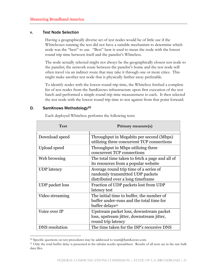## v. Test Node Selection

Having a geographically diverse set of test nodes would be of little use if the Whiteboxes running the test did not have a suitable mechanism to determine which node was the "best" to use. "Best" here is used to mean the node with the lowest round trip time between itself and the panelist's Whitebox.

The node actually selected might not always be the geographically closest test node to the panelist; the network route between the panelist's home and the test node will often travel via an indirect route that may take it through one or more cities. This might make another test node that is physically farther away preferable.

To identify nodes with the lowest round trip time, the Whitebox fetched a complete list of test nodes from the SamKnows infrastructure upon first execution of the test batch and performed a simple round trip time measurement to each. It then selected the test node with the lowest round trip time to test against from that point forward.

# D. SamKnows Methodology<sup>20</sup>

1

| <b>Test</b>            | Primary measure(s)                                                                                                   |
|------------------------|----------------------------------------------------------------------------------------------------------------------|
| Download speed         | Throughput in Megabits per second (Mbps)<br>utilizing three concurrent TCP connections                               |
| Upload speed           | Throughput in Mbps utilizing three<br>concurrent TCP connections                                                     |
| Web browsing           | The total time taken to fetch a page and all of<br>its resources from a popular website                              |
| <b>UDP</b> latency     | Average round trip time of a series of<br>randomly transmitted UDP packets<br>distributed over a long time frame     |
| <b>UDP</b> packet loss | Fraction of UDP packets lost from UDP<br>latency test                                                                |
| Video streaming        | The initial time to buffer, the number of<br>buffer under-runs and the total time for<br>buffer delays <sup>21</sup> |
| Voice over IP          | Upstream packet loss, downstream packet<br>loss, upstream jitter, downstream jitter,<br>round trip latency           |
| <b>DNS</b> resolution  | The time taken for the ISP's recursive DNS                                                                           |

Each deployed Whitebox performs the following tests:

<sup>&</sup>lt;sup>20</sup> Specific questions on test procedures may be addressed to team@SamKnows.com.

<sup>&</sup>lt;sup>21</sup> Only the total buffer delay is presented in the tabular results spreadsheet. Results of all tests are in the raw bulk data files.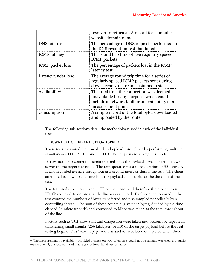|                            | resolver to return an A record for a popular<br>website domain name                                                                                         |
|----------------------------|-------------------------------------------------------------------------------------------------------------------------------------------------------------|
| <b>DNS</b> failures        | The percentage of DNS requests performed in<br>the DNS resolution test that failed                                                                          |
| <b>ICMP</b> latency        | The round trip time of five regularly spaced<br><b>ICMP</b> packets                                                                                         |
| <b>ICMP</b> packet loss    | The percentage of packets lost in the ICMP<br>latency test                                                                                                  |
| Latency under load         | The average round trip time for a series of<br>regularly spaced ICMP packets sent during<br>downstream/upstream sustained tests                             |
| Availability <sup>22</sup> | The total time the connection was deemed<br>unavailable for any purpose, which could<br>include a network fault or unavailability of a<br>measurement point |
| Consumption                | A simple record of the total bytes downloaded<br>and uploaded by the router                                                                                 |

The following sub-sections detail the methodology used in each of the individual tests.

# DOWNLOAD SPEED AND UPLOAD SPEED

These tests measured the download and upload throughput by performing multiple simultaneous HTTP GET and HTTP POST requests to a target test node.

Binary, non-zero content—herein referred to as the payload—was hosted on a web server on the target test node. The test operated for a fixed duration of 30 seconds. It also recorded average throughput at 5 second intervals during the test. The client attempted to download as much of the payload as possible for the duration of the test.

The test used three concurrent TCP connections (and therefore three concurrent HTTP requests) to ensure that the line was saturated. Each connection used in the test counted the numbers of bytes transferred and was sampled periodically by a controlling thread. The sum of these counters (a value in bytes) divided by the time elapsed (in microseconds) and converted to Mbps was taken as the total throughput of the line.

Factors such as TCP slow start and congestion were taken into account by repeatedly transferring small chunks (256 kilobytes, or kB) of the target payload before the real testing began. This 'warm up' period was said to have been completed when three

<sup>1</sup> <sup>22</sup> The measurement of availability provided a check on how often tests could not be run and was used as a quality metric overall, but was not used in analysis of broadband performance.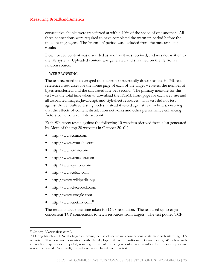consecutive chunks were transferred at within 10% of the speed of one another. All three connections were required to have completed the warm up period before the timed testing began. The 'warm-up' period was excluded from the measurement results.

Downloaded content was discarded as soon as it was received, and was not written to the file system. Uploaded content was generated and streamed on the fly from a random source.

## WEB BROWSING

The test recorded the averaged time taken to sequentially download the HTML and referenced resources for the home page of each of the target websites, the number of bytes transferred, and the calculated rate per second. The primary measure for this test was the total time taken to download the HTML front page for each web site and all associated images, JavaScript, and stylesheet resources. This test did not test against the centralized testing nodes; instead it tested against real websites, ensuring that the effects of content distribution networks and other performance enhancing factors could be taken into account.

Each Whitebox tested against the following 10 websites (derived from a list generated by Alexa of the top 20 websites in October 2010<sup>23</sup>):

- http://www.cnn.com
- http://www.youtube.com
- http://www.msn.com
- http://www.amazon.com
- http://www.yahoo.com
- http://www.ebay.com
- http://www.wikipedia.org
- http://www.facebook.com
- http://www.google.com
- http://www.netflix.com<sup>24</sup>

The results include the time taken for DNS resolution. The test used up to eight concurrent TCP connections to fetch resources from targets. The test pooled TCP

 $\overline{a}$ 

<sup>23</sup> See http://www.alexa.com/.

<sup>&</sup>lt;sup>24</sup> During March 2011 Netflix began enforcing the use of secure web connections to its main web site using TLS security. This was not compatible with the deployed Whitebox software. Consequently, Whitebox web connection requests were rejected, resulting in test failures being recorded in all results after this security feature was implemented. As a result, this website was excluded from this test.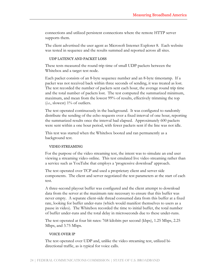connections and utilized persistent connections where the remote HTTP server supports them.

The client advertised the user agent as Microsoft Internet Explorer 8. Each website was tested in sequence and the results summed and reported across all sites.

## UDP LATENCY AND PACKET LOSS

These tests measured the round trip time of small UDP packets between the Whitebox and a target test node.

Each packet consists of an 8-byte sequence number and an 8-byte timestamp. If a packet was not received back within three seconds of sending, it was treated as lost. The test recorded the number of packets sent each hour, the average round trip time and the total number of packets lost. The test computed the summarized minimum, maximum, and mean from the lowest 99% of results, effectively trimming the top (*i.e.*, slowest)  $1\%$  of outliers.

The test operated continuously in the background. It was configured to randomly distribute the sending of the echo requests over a fixed interval of one hour, reporting the summarized results once the interval had elapsed. Approximately 600 packets were sent within a one hour period, with fewer packets sent if the line was not idle.

This test was started when the Whitebox booted and ran permanently as a background test.

# VIDEO STREAMING

For the purpose of the video streaming test, the intent was to simulate an end user viewing a streaming video online. This test emulated live video streaming rather than a service such as YouTube that employs a 'progressive download' approach.

The test operated over TCP and used a proprietary client and server side components. The client and server negotiated the test parameters at the start of each test.

A three-second playout buffer was configured and the client attempt to download data from the server at the maximum rate necessary to ensure that this buffer was never empty. A separate client-side thread consumed data from this buffer at a fixed rate, looking for buffer under-runs (which would manifest themselves to users as a pause in video). The Whitebox recorded the time to initial buffer, the total number of buffer under-runs and the total delay in microseconds due to these under-runs.

The test operated at four bit rates: 768 kilobits per second (kbps), 1.25 Mbps, 2.25 Mbps, and 3.75 Mbps.

## VOICE OVER IP

The test operated over UDP and, unlike the video streaming test, utilized bidirectional traffic, as is typical for voice calls.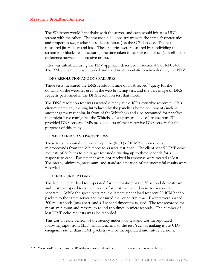The Whitebox would handshake with the server, and each would initiate a UDP stream with the other. The test used a 64 kbps stream with the same characteristics and properties (i.e., packet sizes, delays, bitrate) as the G.711 codec. The test measured jitter, delay and loss. These metrics were measured by subdividing the stream into blocks, and measuring the time taken to receive each block (as well as the difference between consecutive times).

Jitter was calculated using the PDV approach described in section 4.2 of RFC5481. The 99th percentile was recorded and used in all calculations when deriving the PDV.

## DNS RESOLUTION AND DNS FAILURES

These tests measured the DNS resolution time of an A record<sup>25</sup> query for the domains of the websites used in the web browsing test, and the percentage of DNS requests performed in the DNS resolution test that failed.

The DNS resolution test was targeted directly at the ISP's recursive resolvers. This circumvented any caching introduced by the panelist's home equipment (such as another gateway running in front of the Whitebox) and also accounted for panelists that might have configured the Whitebox (or upstream devices) to use non-ISP provided DNS servers. ISPS provided lists of their recursive DNS servers for the purposes of this study.

## ICMP LATENCY AND PACKET LOSS

These tests measured the round trip time (RTT) of ICMP echo requests in microseconds from the Whitebox to a target test node. The client sent 5 ICMP echo requests of 56 bytes to the target test node, waiting up to three seconds for a response to each. Packets that were not received in response were treated as lost. The mean, minimum, maximum, and standard deviation of the successful results were recorded.

## LATENCY UNDER LOAD

 $\overline{a}$ 

The latency under load test operated for the duration of the 30 second downstream and upstream speed tests, with results for upstream and downstream recorded separately. While the speed tests ran, the latency under load test sent 20 ICMP echo packets to the target server and measured the round trip time. Packets were spaced 500 milliseconds (ms) apart, and a 3 second timeout was used. The test recorded the mean, minimum and maximum round trip times in microseconds. The number of lost ICMP echo requests was also recorded.

This was an early version of the latency under load test and was incorporated following input from MIT. Enhancements to the test (such as making it use UDP datagrams rather than ICMP packets) will be incorporated into future versions.

 $^{25}$  An "A record" is the numeric IP address associated with a domain address such as www.fcc.gov.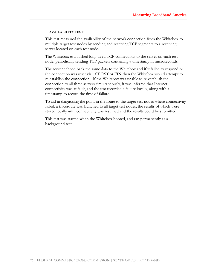# AVAILABILITY TEST

This test measured the availability of the network connection from the Whitebox to multiple target test nodes by sending and receiving TCP segments to a receiving server located on each test node.

The Whitebox established long-lived TCP connections to the server on each test node, periodically sending TCP packets containing a timestamp in microseconds.

The server echoed back the same data to the Whitebox and if it failed to respond or the connection was reset via TCP RST or FIN then the Whitebox would attempt to re-establish the connection. If the Whitebox was unable to re-establish the connection to all three servers simultaneously, it was inferred that Internet connectivity was at fault, and the test recorded a failure locally, along with a timestamp to record the time of failure.

To aid in diagnosing the point in the route to the target test nodes where connectivity failed, a traceroute was launched to all target test nodes, the results of which were stored locally until connectivity was resumed and the results could be submitted.

This test was started when the Whitebox booted, and ran permanently as a background test.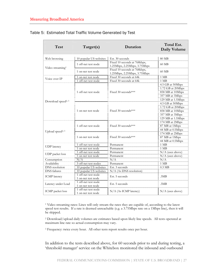| Test                           | Target(s)                                 | Duration                                                     | Total Est.<br>Daily Volume                                                                        |
|--------------------------------|-------------------------------------------|--------------------------------------------------------------|---------------------------------------------------------------------------------------------------|
| Web browsing                   | 10 popular US websites                    | Est. 30 seconds                                              | 80 MB                                                                                             |
|                                | 1 off-net test node                       | Fixed 10 seconds at 768kbps,<br>1.25Mbps, 2.25Mbps, 3.75Mbps | 60 MB                                                                                             |
| Video streaming <sup>1</sup>   | 1 on-net test node                        | Fixed 10 seconds at 768kbps,<br>1.25Mbps, 2.25Mbps, 3.75Mbps | 60 MB                                                                                             |
| Voice over IP                  | 1 on-net test node                        | Fixed 30 seconds at 64k                                      | $1$ MB                                                                                            |
|                                | 1 off-net test node                       | Fixed 30 seconds at 64k                                      | 1 MB                                                                                              |
|                                | 1 off-net test node                       | Fixed 30 seconds***                                          | 4.5 GB at 50Mbps<br>1.72 GB at 20Mbps<br>858 MB at 10Mbps<br>357 MB at 3Mbps<br>129 MB at 1.5Mbps |
| Download speed <sup>2, 3</sup> | 1 on-net test node                        | Fixed 30 seconds***                                          | 4.5 GB at 50Mbps<br>1.72 GB at 20Mbps<br>858 MB at 10Mbps<br>357 MB at 3Mbps<br>129 MB at 1.5Mbps |
|                                | 1 off-net test node                       | Fixed 30 seconds***                                          | 174 MB at 2Mbps<br>87 MB at 1Mbps<br>44 MB at 0.5Mbps                                             |
| Upload speed <sup>2, 3</sup>   | 1 on-net test node                        | Fixed 30 seconds***                                          | 174 MB at 2Mbps<br>87 MB at 1Mbps<br>44 MB at 0.5Mbps                                             |
|                                | 1 off-net test node                       | Permanent                                                    | $1$ MB                                                                                            |
| <b>UDP</b> latency             | 1 on-net test node                        | Permanent                                                    | 1 MB                                                                                              |
| UDP packet loss                | 1 off-net test node<br>1 on-net test node | Permanent<br>Permanent                                       | $N/A$ (uses above)<br>$N/A$ (uses above)                                                          |
| Consumption                    | N/A                                       | N/A                                                          | N/A                                                                                               |
| Availability                   | 3 off-net test nodes                      | Permanent                                                    | $1$ MB                                                                                            |
| <b>DNS</b> resolution          | 10 popular US websites                    | Est. 3 seconds                                               | $0.3 \text{ MB}$                                                                                  |
| <b>DNS</b> failures            | 10 popular US websites                    | N/A (As DNS resolution)                                      |                                                                                                   |
| <b>ICMP</b> latency            | 1 off-net test node<br>1 on-net test node | Est. 5 seconds                                               | .3MB                                                                                              |
| Latency under Load             | 1 off-net test node<br>1 on-net test node | Est. 5 seconds                                               | .3MB                                                                                              |
| ICMP packet loss               | 1 off-net test node<br>1 on-net test node | $N/A$ (As ICMP latency)                                      | $N/A$ (uses above)                                                                                |

# Table 5: Estimated Total Traffic Volume Generated by Test

1 Video streaming rates: Lines will only stream the rates they are capable of, according to the latest speed test results. If a rate is deemed unreachable (e.g. a 3.75Mbps rate on a 1Mbps line), then it will be skipped.

2 Download/upload daily volumes are estimates based upon likely line speeds. All tests operated at maximum line rate so actual consumption may vary.

<sup>3</sup> Frequency: twice every hour. All other tests report results once per hour.

In addition to the tests described above, for 60 seconds prior to and during testing, a 'threshold manager' service on the Whitebox monitored the inbound and outbound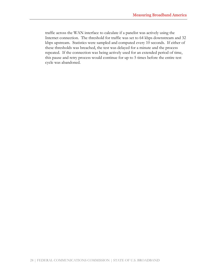traffic across the WAN interface to calculate if a panelist was actively using the Internet connection. The threshold for traffic was set to 64 kbps downstream and 32 kbps upstream. Statistics were sampled and computed every 10 seconds. If either of these thresholds was breached, the test was delayed for a minute and the process repeated. If the connection was being actively used for an extended period of time, this pause and retry process would continue for up to 5 times before the entire test cycle was abandoned.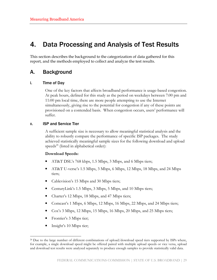# 4. Data Processing and Analysis of Test Results

This section describes the background to the categorization of data gathered for this report, and the methods employed to collect and analyze the test results.

# A. Background

# i. Time of Day

One of the key factors that affects broadband performance is usage-based congestion. At peak hours, defined for this study as the period on weekdays between 7:00 pm and 11:00 pm local time, there are more people attempting to use the Internet simultaneously, giving rise to the potential for congestion if any of these points are provisioned on a contended basis. When congestion occurs, users' performance will suffer.

# II. ISP and Service Tier

A sufficient sample size is necessary to allow meaningful statistical analysis and the ability to robustly compare the performance of specific ISP packages. The study achieved statistically meaningful sample sizes for the following download and upload speeds $^{26}$  (listed in alphabetical order):

# Download Speeds:

- AT&T DSL's 768 kbps, 1.5 Mbps, 3 Mbps, and 6 Mbps tiers;
- AT&T U-verse's 1.5 Mbps, 3 Mbps, 6 Mbps, 12 Mbps, 18 Mbps, and 24 Mbps tiers;
- Cablevision's 15 Mbps and 30 Mbps tiers;
- CenturyLink's 1.5 Mbps, 3 Mbps, 5 Mbps, and 10 Mbps tiers;
- Charter's 12 Mbps, 18 Mbps, and 47 Mbps tiers;
- Comcast's 1 Mbps, 6 Mbps, 12 Mbps, 16 Mbps, 22 Mbps, and 24 Mbps tiers;
- Cox's 3 Mbps, 12 Mbps, 15 Mbps, 16 Mbps, 20 Mbps, and 25 Mbps tiers;
- Frontier's 3 Mbps tier;
- Insight's 10 Mbps tier;

 $\overline{a}$ 

<sup>&</sup>lt;sup>26</sup> Due to the large number of different combinations of upload/download speed tiers supported by ISPs where, for example, a single download speed might be offered paired with multiple upload speeds or vice versa, upload and download test results were analyzed separately to produce enough samples to provide statistically valid data.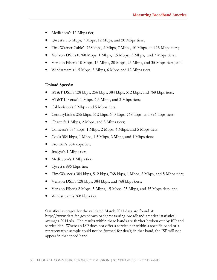- Mediacom's 12 Mbps tier;
- Qwest's 1.5 Mbps, 7 Mbps, 12 Mbps, and 20 Mbps tiers;
- TimeWarner Cable's 768 kbps, 2 Mbps, 7 Mbps, 10 Mbps, and 15 Mbps tiers;
- Verizon DSL's 0.768 Mbps, 1 Mbps, 1.5 Mbps, 3 Mbps, and 7 Mbps tiers;
- Verizon Fiber's 10 Mbps, 15 Mbps, 20 Mbps, 25 Mbps, and 35 Mbps tiers; and
- Windstream's 1.5 Mbps, 3 Mbps, 6 Mbps and 12 Mbps tiers.

# Upload Speeds:

- AT&T DSL's 128 kbps, 256 kbps, 384 kbps, 512 kbps, and 768 kbps tiers;
- AT&T U-verse's 1 Mbps, 1.5 Mbps, and 3 Mbps tiers;
- Cablevision's 2 Mbps and 5 Mbps tiers;
- CenturyLink's 256 kbps, 512 kbps, 640 kbps, 768 kbps, and 896 kbps tiers;
- Charter's 1 Mbps, 2 Mbps, and 3 Mbps tiers;
- Comcast's 384 kbps, 1 Mbps, 2 Mbps, 4 Mbps, and 5 Mbps tiers;
- Cox's 384 kbps, 1 Mbps, 1.5 Mbps, 2 Mbps, and 4 Mbps tiers;
- Frontier's 384 kbps tier;
- Insight's 1 Mbps tier;
- Mediacom's 1 Mbps tier;
- Qwest's 896 kbps tier;
- TimeWarner's 384 kbps, 512 kbps, 768 kbps, 1 Mbps, 2 Mbps, and 5 Mbps tiers;
- Verizon DSL's 128 kbps, 384 kbps, and 768 kbps tiers;
- Verizon Fiber's 2 Mbps, 5 Mbps, 15 Mbps, 25 Mbps, and 35 Mbps tiers; and
- Windstream's 768 kbps tier.

Statistical averages for the validated March 2011 data are found at: http://www.data.fcc.gov/downloads/measuring-broadband-america/statisticalaverages-2011.xls. The results within these bands are further broken out by ISP and service tier. Where an ISP does not offer a service tier within a specific band or a representative sample could not be formed for tier(s) in that band, the ISP will not appear in that speed band.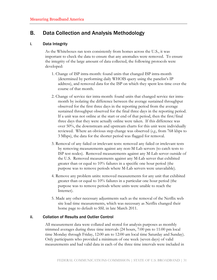# B. Data Collection and Analysis Methodology

# i. Data Integrity

As the Whiteboxes ran tests consistently from homes across the U.S., it was important to check the data to ensure that any anomalies were removed. To ensure the integrity of the large amount of data collected, the following protocols were developed:

- 1. Change of ISP intra-month: found units that changed ISP intra-month (determined by performing daily WHOIS query using the panelist's IP address), and removed data for the ISP on which they spent less time over the course of that month.
- 2. Change of service tier intra-month: found units that changed service tier intramonth by isolating the difference between the average sustained throughput observed for the first three days in the reporting period from the average sustained throughput observed for the final three days in the reporting period. If a unit was not online at the start or end of that period, then the first/final three days that they were actually online were taken. If this difference was over 50%, the downstream and upstream charts for this unit were individually reviewed. Where an obvious step change was observed (e.g., from 768 kbps to 3 Mbps), the data for the shorter period was flagged for removal.
- 3. Removal of any failed or irrelevant tests: removed any failed or irrelevant tests by removing measurements against any non-M-Lab servers (to catch tests to ISP test nodes). Removed measurements against any M-Lab server outside of the U.S. Removed measurements against any M-Lab server that exhibited greater than or equal to 10% failures in a specific one hour period (the purpose was to remove periods where M-Lab servers were unavailable).
- 4. Remove any problem units: removed measurements for any unit that exhibited greater than or equal to 10% failures in a particular one hour period (the purpose was to remove periods where units were unable to reach the Internet).
- 5. Made any other necessary adjustments such as the removal of the Netflix web site load time measurements, which was necessary as Netflix changed their home page to default to SSL in late March 2011.

# ii. Collation of Results and Outlier Control

All measurement data were collated and stored for analysis purposes as monthly trimmed averages during three time intervals (24 hours, 7:00 pm to 11:00 pm local time Monday through Friday, 12:00 am to 12:00 am local time Saturday and Sunday). Only participants who provided a minimum of one week (seven days) of valid measurements and had valid data in each of the three time intervals were included in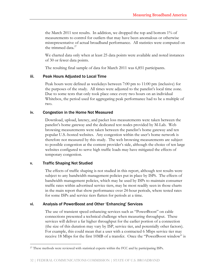the March 2011 test results. In addition, we dropped the top and bottom 1% of measurements to control for outliers that may have been anomalous or otherwise misrepresentative of actual broadband performance. All statistics were computed on the trimmed data. $27$ 

We charted data only when at least 25 data points were available and noted instances of 30 or fewer data points.

The resulting final sample of data for March 2011 was 6,851 participants.

# iii. Peak Hours Adjusted to Local Time

Peak hours were defined as weekdays between 7:00 pm to 11:00 pm (inclusive) for the purposes of the study. All times were adjusted to the panelist's local time zone. Due to some tests that only took place once every two hours on an individual Whitebox, the period used for aggregating peak performance had to be a multiple of two.

# iv. Congestion in the Home Not Measured

Download, upload, latency, and packet loss measurements were taken between the panelist's home gateway and the dedicated test nodes provided by M-Lab. Web browsing measurements were taken between the panelist's home gateway and ten popular U.S.-hosted websites. Any congestion within the user's home network is therefore not measured by this study. The web browsing measurements are subject to possible congestion at the content provider's side, although the choice of ten large websites configured to serve high traffic loads may have mitigated the effects of temporary congestion.

# v. Traffic Shaping Not Studied

 $\overline{a}$ 

The effects of traffic shaping is not studied in this report, although test results were subject to any bandwidth management policies put in place by ISPS. The effects of bandwidth management policies, which may be used by ISPs to maintain consumer traffic rates within advertised service tiers, may be most readily seen in those charts in the main report that show performance over 24-hour periods, where tested rates for some ISPs and service tiers flatten for periods at a time.

# vi. Analysis of PowerBoost and Other 'Enhancing' Services

The use of transient speed enhancing services such as "PowerBoost" on cable connections presented a technical challenge when measuring throughput. These services will deliver a far higher throughput for the earlier portion of a connection (the size of this duration may vary by ISP, service tier, and potentially other factors). For example, this could mean that a user with a contracted 6 Mbps service tier may receive 18 Mbps for the first 10MB of a transfer. Once the "PowerBoost window" is

<sup>&</sup>lt;sup>27</sup> These methods were reviewed with statistical experts within the FCC and by participating ISPs.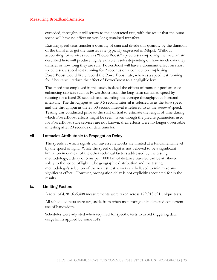exceeded, throughput will return to the contracted rate, with the result that the burst speed will have no effect on very long sustained transfers.

Existing speed tests transfer a quantity of data and divide this quantity by the duration of the transfer to get the transfer rate (typically expressed in Mbps). Without accounting for services such as "PowerBoost," speed tests employing the mechanism described here will produce highly variable results depending on how much data they transfer or how long they are run. PowerBoost will have a dominant effect on short speed tests: a speed test running for 2 seconds on a connection employing PowerBoost would likely record the PowerBoost rate, whereas a speed test running for 2 hours will reduce the effect of PowerBoost to a negligible level.

The speed test employed in this study isolated the effects of transient performance enhancing services such as PowerBoost from the long-term sustained speed by running for a fixed 30 seconds and recording the average throughput at 5 second intervals. The throughput at the 0-5 second interval is referred to as the burst speed and the throughput at the 25-30 second interval is referred to as the *sustained* speed. Testing was conducted prior to the start of trial to estimate the length of time during which PowerBoost effects might be seen. Even though the precise parameters used for PowerBoost-style services are not known, their effects were no longer observable in testing after 20 seconds of data transfer.

# vii. Latencies Attributable to Propagation Delay

The speeds at which signals can traverse networks are limited at a fundamental level by the speed of light. While the speed of light is not believed to be a significant limitation in context of the other technical factors addressed by the testing methodology, a delay of 5 ms per 1000 km of distance traveled can be attributed solely to the speed of light. The geographic distribution and the testing methodology's selection of the nearest test servers are believed to minimize any significant effect. However, propagation delay is not explicitly accounted for in the results.

# ix. Limiting Factors

A total of 4,281,635,408 measurements were taken across 179,913,691 unique tests.

All scheduled tests were run, aside from when monitoring units detected concurrent use of bandwidth.

Schedules were adjusted when required for specific tests to avoid triggering data usage limits applied by some ISPs.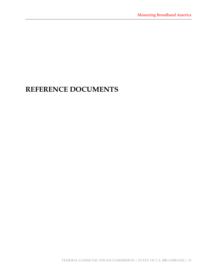# REFERENCE DOCUMENTS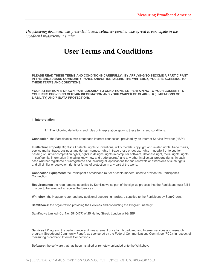The following document was presented to each volunteer panelist who agreed to participate in the broadband measurement study:

# User Terms and Conditions

**PLEASE READ THESE TERMS AND CONDITIONS CAREFULLY. BY APPLYING TO BECOME A PARTICIPANT IN THE BROADBAND COMMUNITY PANEL AND/OR INSTALLING THE WHITEBOX, YOU ARE AGREEING TO THESE TERMS AND CONDITIONS.**

**YOUR ATTENTION IS DRAWN PARTICULARLY TO CONDITIONS 3.5 (PERTAINING TO YOUR CONSENT TO YOUR ISPS PROVIDING CERTAIN INFORMATION AND YOUR WAIVER OF CLAIMS), 6 (LIMITATIONS OF LIABILITY) AND 7 (DATA PROTECTION).**

### 1. **Interpretation**

1.1 The following definitions and rules of interpretation apply to these terms and conditions.

**Connection:** the Participant's own broadband internet connection, provided by an Internet Service Provider ("ISP").

**Intellectual Property Rights:** all patents, rights to inventions, utility models, copyright and related rights, trade marks, service marks, trade, business and domain names, rights in trade dress or get-up, rights in goodwill or to sue for passing off, unfair competition rights, rights in designs, rights in computer software, database right, moral rights, rights in confidential information (including know-how and trade secrets) and any other intellectual property rights, in each case whether registered or unregistered and including all applications for and renewals or extensions of such rights, and all similar or equivalent rights or forms of protection in any part of the world.

**Connection Equipment:** the Participant's broadband router or cable modem, used to provide the Participant's Connection.

**Requirements:** the requirements specified by SamKnows as part of the sign-up process that the Participant must fulfill in order to be selected to receive the Services.

**Whitebox:** the Netgear router and any additional supporting hardware supplied to the Participant by SamKnows.

**SamKnows:** the organization providing the Services and conducting the Program, namely:

SamKnows Limited (Co. No. 6510477) of 25 Harley Street, London W1G 9BR

**Services / Program:** the performance and measurement of certain broadband and Internet services and research program (Broadband Community Panel), as sponsored by the Federal Communications Committee (FCC), in respect of measuring broadband Internet Connections.

**Software:** the software that has been installed or remotely uploaded onto the Whitebox.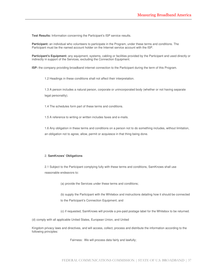**Test Results:** Information concerning the Participant's ISP service results.

**Participant:** an individual who volunteers to participate in the Program, under these terms and conditions. The Participant must be the named account holder on the Internet service account with the ISP.

**Participant's Equipment:** any equipment, systems, cabling or facilities provided by the Participant and used directly or indirectly in support of the Services, excluding the Connection Equipment.

**ISP:** the company providing broadband internet connection to the Participant during the term of this Program.

1.2 Headings in these conditions shall not affect their interpretation.

1.3 A person includes a natural person, corporate or unincorporated body (whether or not having separate legal personality).

1.4 The schedules form part of these terms and conditions.

1.5 A reference to writing or written includes faxes and e-mails.

1.6 Any obligation in these terms and conditions on a person not to do something includes, without limitation, an obligation not to agree, allow, permit or acquiesce in that thing being done.

### 2. **SamKnows' Obligations**

2.1 Subject to the Participant complying fully with these terms and conditions, SamKnows shall use reasonable endeavors to:

(a) provide the Services under these terms and conditions;

(b) supply the Participant with the Whitebox and instructions detailing how it should be connected to the Participant's Connection Equipment; and

(c) if requested, SamKnows will provide a pre-paid postage label for the Whitebox to be returned.

(d) comply with all applicable United States, European Union, and United

Kingdom privacy laws and directives, and will access, collect, process and distribute the information according to the following principles:

Fairness: We will process data fairly and lawfully;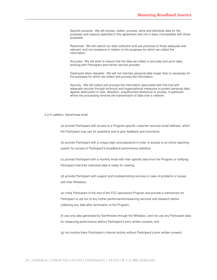Specific purpose: We will access, collect, process, store and distribute data for the purposes and reasons specified in this agreement and not in ways incompatible with those purposes;

Restricted: We will restrict our data collection and use practices to those adequate and relevant, and not excessive in relation to the purposes for which we collect the information;

Accurate: We will work to ensure that the data we collect is accurate and up-to-date, working with Participant and his/her service provider;

Destroyed when obsolete: We will not maintain personal data longer than is necessary for the purposes for which we collect and process the information;

Security: We will collect and process the information associated with this trial with adequate security through technical and organizational measures to protect personal data against destruction or loss, alteration, unauthorized disclosure or access, in particular where the processing involves the transmission of data over a network.

### 2.2 In addition, SamKnows shall:

(a) provide Participant with access to a Program-specific customer services email address, which the Participant may use for questions and to give feedback and comments;

(b) provide Participant with a unique login and password in order to access to an online reporting system for access to Participant's broadband performance statistics.

(c) provide Participant with a monthly email with their specific data from the Program or notifying Participant that their individual data is ready for viewing;

(d) provide Participant with support and troubleshooting services in case of problems or issues with their Whitebox;

(e) notify Participant of the end of the FCC-sponsored Program and provide a mechanism for Participant to opt out of any further performance/measuring services and research before collecting any data after termination of the Program;

(f) use only data generated by SamKnows through the Whitebox, and not use any Participant data for measuring performance without Participant's prior written consent; and

(g) not monitor/track Participant's Internet activity without Participant's prior written consent.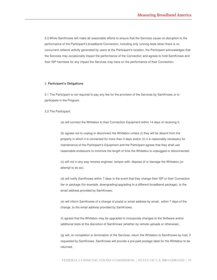2.3 While SamKnows will make all reasonable efforts to ensure that the Services cause no disruption to the performance of the Participant's broadband Connection, including only running tests when there is no concurrent network activity generated by users at the Participant's location, the Participant acknowledges that the Services may occasionally impact the performance of the Connection and agrees to hold SamKnows and their ISP harmless for any impact the Services may have on the performance of their Connection.

#### 3. **Participant's Obligations**

3.1 The Participant is not required to pay any fee for the provision of the Services by SamKnows or to participate in the Program.

3.2 The Participant:

(a) will connect the Whitebox to their Connection Equipment within 14 days of receiving it;

(b) agrees not to unplug or disconnect the Whitebox unless (i) they will be absent from the property in which it is connected for more than 3 days and/or (ii) it is reasonably necessary for maintenance of the Participant's Equipment and the Participant agrees that they shall use reasonable endeavors to minimize the length of time the Whitebox is unplugged or disconnected;

(c) will not in any way reverse engineer, tamper with, dispose of or damage the Whitebox (or attempt to do so);

(d) will notify SamKnows within 7 days in the event that they change their ISP or their Connection tier or package (for example, downgrading/upgrading to a different broadband package), to the email address provided by SamKnows;

(e) will inform SamKnows of a change of postal or email address by email; within 7 days of the change, to the email address provided by SamKnows;

(f) agrees that the Whitebox may be upgraded to incorporate changes to the Software and/or additional tests at the discretion of SamKnows (whether by remote uploads or otherwise);

(g) will, on completion or termination of the Services, return the Whitebox to SamKnows by mail, if requested by SamKnows. SamKnows will provide a pre-paid postage label for the Whitebox to be returned;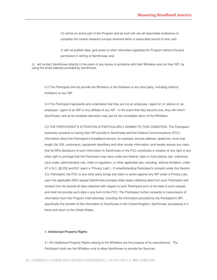(h) will be an active part of the Program and as such will use all reasonable endeavors to complete the market research surveys received within a reasonable period of time; and

(i) will not publish data, give press or other interviews regarding the Program without the prior permission in writing of SamKnows; and

(l) will contact SamKnows directly in the event of any issues or problems with their Whitebox and not their ISP, by using the email address provided by SamKnows.

3.3 The Participant will not provide the Whitebox or the Software to any third party, including (without limitation) to any ISP.

3.4 The Participant represents and undertakes that they are not an employee / agent of, or relative of, an employee / agent of an ISP or any affiliate of any ISP. In the event that they become one, they will inform SamKnows, who at its complete discretion may ask for the immediate return of the Whitebox.

3.5 THE PARTICIPANT'S ATTENTION IS PARTICULARLY DRAWN TO THIS CONDITION. The Participant expressly consents to having their ISP provide to SamKnows and the Federal Communications (FCC) information about the Participant's broadband service, for example: service address, speed tier, local loop length (for DSL customers), equipment identifiers and other similar information, and hereby waives any claim that its ISPs disclosure of such information to SamKnows or the FCC constitutes a violation of any right or any other right or privilege that the Participant may have under any federal, state or local statute, law, ordinance, court order, administrative rule, order or regulation, or other applicable law, including, without limitation, under 47 U.S.C**.** §§ 222 and 631 (each a "Privacy Law"). If notwithstanding Participant's consent under this Section 3.5, Participant, the FCC or any other party brings any claim or action against any ISP under a Privacy Law, upon the applicable ISPs request SamKnows promptly shall cease collecting data from such Participant and remove from its records all data collected with respect to such Participant prior to the date of such request, and shall not provide such data in any form to the FCC. The Participant further consents to transmission of information from this Program Internationally, including the information provided by the Participant's ISP, specifically the transfer of this information to SamKnows in the United Kingdom, SamKnows' processing of it there and return to the United States.

#### 4. **Intellectual Property Rights**

4.1 All Intellectual Property Rights relating to the Whitebox are the property of its manufacturer. The Participant shall use the Whitebox only to allow SamKnows to provide the Services.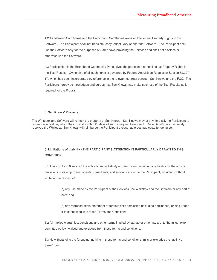4.2 As between SamKnows and the Participant, SamKnows owns all Intellectual Property Rights in the Software. The Participant shall not translate, copy, adapt, vary or alter the Software. The Participant shall use the Software only for the purposes of SamKnows providing the Services and shall not disclose or otherwise use the Software.

4.3 Participation in the Broadband Community Panel gives the participant no Intellectual Property Rights in the Test Results. Ownership of all such rights is governed by Federal Acquisition Regulation Section 52.227- 17, which has been incorporated by reference in the relevant contract between SamKnows and the FCC. The Participant hereby acknowledges and agrees that SamKnows may make such use of the Test Results as is required for the Program.

### 5. **SamKnows' Property**

The Whitebox and Software will remain the property of SamKnows. SamKnows may at any time ask the Participant to return the Whitebox, which they must do within 28 days of such a request being sent. Once SamKnows has safely received the Whitebox, SamKnows will reimburse the Participant's reasonable postage costs for doing so.

# 6. **Limitations of Liability - THE PARTICIPANT'S ATTENTION IS PARTICULARLY DRAWN TO THIS CONDITION**

6.1 This condition 6 sets out the entire financial liability of SamKnows (including any liability for the acts or omissions of its employees, agents, consultants, and subcontractors) to the Participant, including (without limitation) in respect of:

> (a) any use made by the Participant of the Services, the Whitebox and the Software or any part of them; and

(b) any representation, statement or tortious act or omission (including negligence) arising under or in connection with these Terms and Conditions.

6.2 All implied warranties, conditions and other terms implied by statute or other law are, to the fullest extent permitted by law, waived and excluded from these terms and conditions.

6.3 Notwithstanding the foregoing, nothing in these terms and conditions limits or excludes the liability of SamKnows: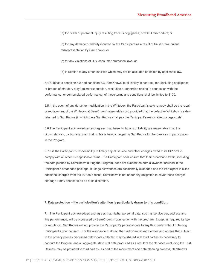(a) for death or personal injury resulting from its negligence; or willful misconduct; or

(b) for any damage or liability incurred by the Participant as a result of fraud or fraudulent misrepresentation by SamKnows; or

(c) for any violations of U.S. consumer protection laws; or

(d) in relation to any other liabilities which may not be excluded or limited by applicable law.

6.4 Subject to condition 6.2 and condition 6.3, SamKnows' total liability in contract, tort (including negligence or breach of statutory duty), misrepresentation, restitution or otherwise arising in connection with the performance, or contemplated performance, of these terms and conditions shall be limited to \$100.

6.5 In the event of any defect or modification in the Whitebox, the Participant's sole remedy shall be the repair or replacement of the Whitebox at SamKnows' reasonable cost, provided that the defective Whitebox is safely returned to SamKnows (in which case SamKnows shall pay the Participant's reasonable postage costs).

6.6 The Participant acknowledges and agrees that these limitations of liability are reasonable in all the circumstances, particularly given that no fee is being charged by SamKnows for the Services or participation in the Program.

6.7 It is the Participant's responsibility to timely pay all service and other charges owed to its ISP and to comply with all other ISP applicable terms. The Participant shall ensure that their broadband traffic, including the data pushed by SamKnows during the Program, does not exceed the data allowance included in the Participant's broadband package. If usage allowances are accidentally exceeded and the Participant is billed additional charges from the ISP as a result, SamKnows is not under any obligation to cover these charges although it may choose to do so at its discretion.

#### 7. **Data protection – the participation's attention is particularly drawn to this condition.**

7.1 The Participant acknowledges and agrees that his/her personal data, such as service tier, address and line performance, will be processed by SamKnows in connection with the program. Except as required by law or regulation, SamKnows will not provide the Participant's personal data to any third party without obtaining Participant's prior consent. For the avoidance of doubt, the Participant acknowledges and agrees that subject to the privacy polices discussed below data collected may be shared with third parties as necessary to conduct the Program and all aggregate statistical data produced as a result of the Services (including the Test Results) may be provided to third parties. As part of the recruitment and data cleaning process, SamKnows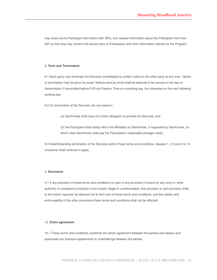may share some Participant information with ISPs, and request information about the Participant from their ISP so that they may confirm the service tiers of Participants and other information relevant to the Program.

### 8. **Term and Termination**

8.1 Each party may terminate the Services immediately by written notice to the other party at any time. Notice of termination may be given by email. Notices sent by email shall be deemed to be served on the day of transmission if transmitted before 5.00 pm Eastern Time on a working day, but otherwise on the next following working day.

8.2 On termination of the Services (for any reason):

(a) SamKnows shall have no further obligation to provide the Services; and

(b) the Participant shall safely return the Whitebox to SamKnows, if requested by SamKnows, (in which case SamKnows shall pay the Participant's reasonable postage costs).

8.3 Notwithstanding termination of the Services and/or these terms and conditions, clauses 1, 3.3 and 4 to 14 (inclusive) shall continue to apply.

#### 9. **Severance**

9.1 If any provision of these terms and conditions (or part of any provision) is found by any court or other authority of competent jurisdiction to be invalid, illegal or unenforceable, that provision or part-provision shall, to the extent required, be deemed not to form part of these terms and conditions, and the validity and enforceability of the other provisions these terms and conditions shall not be affected.

### 10. **Entire agreement**

10.1 These terms and conditions constitute the whole agreement between the parties and replace and supersede any previous agreements or undertakings between the parties.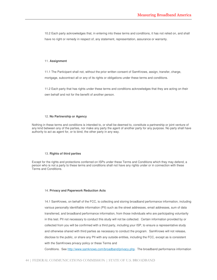10.2 Each party acknowledges that, in entering into these terms and conditions, it has not relied on, and shall have no right or remedy in respect of, any statement, representation, assurance or warranty.

#### 11. **Assignment**

11.1 The Participant shall not, without the prior written consent of SamKnows, assign, transfer, charge, mortgage, subcontract all or any of its rights or obligations under these terms and conditions.

11.2 Each party that has rights under these terms and conditions acknowledges that they are acting on their own behalf and not for the benefit of another person.

#### 12. **No Partnership or Agency**

Nothing in these terms and conditions is intended to, or shall be deemed to, constitute a partnership or joint venture of any kind between any of the parties, nor make any party the agent of another party for any purpose. No party shall have authority to act as agent for, or to bind, the other party in any way.

#### 13. **Rights of third parties**

Except for the rights and protections conferred on ISPs under these Terms and Conditions which they may defend, a person who is not a party to these terms and conditions shall not have any rights under or in connection with these Terms and Conditions.

#### 14. **Privacy and Paperwork Reduction Acts**

14.1 SamKnows, on behalf of the FCC, is collecting and storing broadband performance information, including various personally identifiable information (PII) such as the street addresses, email addresses, sum of data transferred, and broadband performance information, from those individuals who are participating voluntarily in this test. PII not necessary to conduct this study will not be collected. Certain information provided by or collected from you will be confirmed with a third party, including your ISP, to ensure a representative study and otherwise shared with third parties as necessary to conduct the program. SamKnows will not release, disclose to the public, or share any PII with any outside entities, including the FCC, except as is consistent with the SamKnows privacy policy or these Terms and

Conditions. See http://www.samknows.com/broadband/privacy.php. The broadband performance information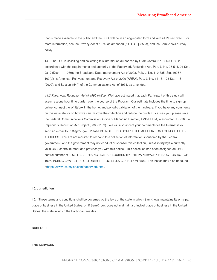that is made available to the public and the FCC, will be in an aggregated form and with all PII removed. For more information, see the Privacy Act of 1974, as amended (5 U.S.C. § 552a), and the SamKnows privacy policy.

14.2 The FCC is soliciting and collecting this information authorized by OMB Control No. 3060-1139 in accordance with the requirements and authority of the Paperwork Reduction Act, Pub. L. No. 96-511, 94 Stat. 2812 (Dec. 11, 1980); the Broadband Data Improvement Act of 2008, Pub. L. No. 110-385, Stat 4096 § 103(c)(1); American Reinvestment and Recovery Act of 2009 (ARRA), Pub. L. No. 111-5, 123 Stat 115 (2009); and Section 154(i) of the Communications Act of 1934, as amended.

14.3 Paperwork Reduction Act of 1995 Notice. We have estimated that each Participant of this study will assume a one hour time burden over the course of the Program. Our estimate includes the time to sign-up online, connect the Whitebox in the home, and periodic validation of the hardware. If you have any comments on this estimate, or on how we can improve the collection and reduce the burden it causes you, please write the Federal Communications Commission, Office of Managing Director, AMD-PERM, Washington, DC 20554, Paperwork Reduction Act Project (3060-1139). We will also accept your comments via the Internet if you send an e-mail to PRA@fcc.gov. Please DO NOT SEND COMPLETED APPLICATION FORMS TO THIS ADDRESS. You are not required to respond to a collection of information sponsored by the Federal government, and the government may not conduct or sponsor this collection, unless it displays a currently valid OMB control number and provides you with this notice. This collection has been assigned an OMB control number of 3060-1139. THIS NOTICE IS REQUIRED BY THE PAPERWORK REDUCTION ACT OF 1995, PUBLIC LAW 104-13, OCTOBER 1, 1995, 44 U.S.C. SECTION 3507. This notice may also be found athttps://www.testmyisp.com/paperwork.html.

### 15. **Jurisdiction**

15.1 These terms and conditions shall be governed by the laws of the state in which SamKnows maintains its principal place of business in the United States, or, if SamKnows does not maintain a principal place of business in the United States, the state in which the Participant resides.

#### **SCHEDULE**

## **THE SERVICES**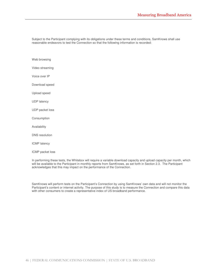Subject to the Participant complying with its obligations under these terms and conditions, SamKnows shall use reasonable endeavors to test the Connection so that the following information is recorded:

Web browsing Video streaming Voice over IP Download speed Upload speed UDP latency UDP packet loss Consumption Availability DNS resolution ICMP latency ICMP packet loss

In performing these tests, the Whitebox will require a variable download capacity and upload capacity per month, which will be available to the Participant in monthly reports from SamKnows, as set forth in Section 2.3. The Participant acknowledges that this may impact on the performance of the Connection.

SamKnows will perform tests on the Participant's Connection by using SamKnows' own data and will not monitor the Participant's content or internet activity. The purpose of this study is to measure the Connection and compare this data with other consumers to create a representative index of US broadband performance.